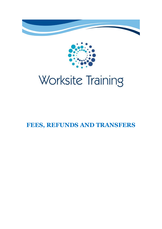



# **FEES, REFUNDS AND TRANSFERS**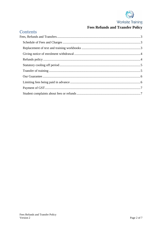

# **Fees Refunds and Transfer Policy**

# Contents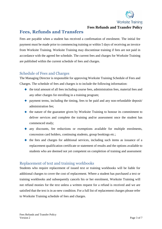

**Fees Refunds and Transfer Policy**

# <span id="page-2-0"></span>**Fees, Refunds and Transfers**

Fees are payable when a student has received a confirmation of enrolment. The initial fee payment must be made prior to commencing training or within 5 days of receiving an invoice from Worksite Training. Worksite Training may discontinue training if fees are not paid in accordance with the agreed fee schedule. The current fees and charges for Worksite Training are published within the current schedule of fees and charges.

#### <span id="page-2-1"></span>Schedule of Fees and Charges

The Managing Director is responsible for approving Worksite Training Schedule of Fees and Charges. The schedule of fees and charges is to include the following information:

- $\bullet$  the total amount of all fees including course fees, administration fees, material fees and any other charges for enrolling in a training program;
- $\bullet$  payment terms, including the timing, fees to be paid and any non-refundable deposit administration fee;
- $\bullet$  the nature of the guarantee given by Worksite Training to honour its commitment to deliver services and complete the training and/or assessment once the student has commenced study;
- any discounts, fee reductions or exemptions available for multiple enrolments, concession card holders, continuing students, group bookings etc.;
- $\bullet$  the fees and charges for additional services, including such items as issuance of a replacement qualification certificate or statement of results and the options available to students who are deemed not yet competent on completion of training and assessment

#### <span id="page-2-2"></span>Replacement of text and training workbooks

Students who require replacement of issued text or training workbooks will be liable for additional charges to cover the cost of replacement. Where a student has purchased a text or training workbooks and subsequently cancels his or her enrolment, Worksite Training will not refund monies for the text unless a written request for a refund is received and we are satisfied that the text is in as-new condition. For a full list of replacement charges please refer to Worksite Training schedule of fees and charges.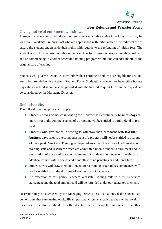

#### **Fees Refunds and Transfer Policy**

#### <span id="page-3-0"></span>Giving notice of enrolment withdrawal

A student who wishes to withdraw their enrolment must give notice in writing. This may be via email. Worksite Training staff who are approached with initial notice of withdrawal are to ensure the student understands their rights with regards to the refunding of tuition fees. The student is also to be advised of other options such as transferring or suspending the enrolment and re-commencing in another scheduled training program within one calendar month of the original date of training.

Students who give written notice to withdraw their enrolment and who are eligible for a refund are to be provided with a Refund Request Form. Students' who may not be eligible but are requesting a refund should also be provided with the Refund Request Form so the request can be considered by the Managing Director.

#### <span id="page-3-1"></span>Refunds policy

The following refund policy will apply:

- Students, who give notice in writing to withdraw their enrolment **5 business days** or more prior to the commencement of a program, will be entitled to a full refund of fees paid.
- Students who give notice in writing to withdraw their enrolment with **less than 5 business days** prior to the commencement of a program will not be entitled to a refund of fees paid. Worksite Training is required to cover the costs of administration, training staff and resources which are committed upon a student's enrolment and in preparation of the training to be undertaken. A student may however, transfer to an identical course within one calendar month with no penalties or additional fees.
- Students who withdraw their enrolment after a training program has commenced will not be entitled to a refund of fees of any fees paid in advance.
- An exception to this policy is where Worksite Training fails to fulfil its service agreement and the total amount paid will be refunded under our guarantee to clients.

Discretion may be exercised by the Managing Director in all situations, if the student can demonstrate that extenuating or significant personal circumstance led to their withdrawal. In these cases, the student should be offered a full credit toward the tuition fee in another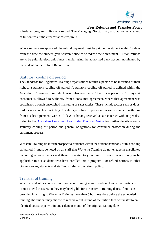

#### **Fees Refunds and Transfer Policy**

scheduled program in lieu of a refund. The Managing Director may also authorise a refund of tuition fees if the circumstances require it.

Where refunds are approved, the refund payment must be paid to the student within 14 days from the time the student gave written notice to withdraw their enrolment. Tuition refunds are to be paid via electronic funds transfer using the authorised bank account nominated by the student on the Refund Request Form.

#### <span id="page-4-0"></span>Statutory cooling off period

The Standards for Registered Training Organisations require a person to be informed of their right to a statutory cooling off period. A statutory cooling off period is defined within the Australian Consumer Law which was introduced in 2011and is a period of 10 days. A consumer is allowed to withdraw from a consumer agreement, where that agreement was established through unsolicited marketing or sales tactics. These include tactics such as doorto-door sales and telemarketing. A statutory cooling off period allows a consumer to withdraw from a sales agreement within 10 days of having received a sale contract without penalty. Refer to the [Australian Consumer Law, Sales Practices Guide](http://agencysearch.australia.gov.au/search/click.cgi?rank=1&collection=agencies&url=http%3A%2F%2Fwww.consumerlaw.gov.au%2Fcontent%2Fthe_acl%2Fdownloads%2Fsales_practices_guide_dec_2011.pdf&index_url=http%3A%2F%2Fwww.consumerlaw.gov.au%2Fcontent%2Fthe_acl%2Fdownloads%2Fsales_practices_guide_dec_2011.pdf&auth=lsPCzmeOtyC%2BVtreM3eEDA&search_referer=http%3A%2F%2Fwww.consumerlaw.gov.au%2Fcontent%2FContent.aspx%3Fdoc%3Dthe_acl%2Flegislation.htm&query=Sales%20practices&profile=consumerlaw&identifier=1433117865.6722) for further details about a statutory cooling off period and general obligations for consumer protection during the enrolment process.

Worksite Training do inform prospective students within the student handbook of this cooling off period. It must be noted by all staff that Worksite Training do not engage in unsolicited marketing or sales tactics and therefore a statutory cooling off period in not likely to be applicable to our students who have enrolled into a program. For refund options in other circumstances, students and staff must refer to the refund policy.

#### <span id="page-4-1"></span>Transfer of training

Where a student has enrolled in a course or training session and due to any circumstances cannot attend this session they may be eligible for a transfer of training dates. If notice is provided in writing to Worksite Training more than 5 business days before the scheduled training, the student may choose to receive a full refund of the tuition fees or transfer to an identical course type within one calendar month of the original training date.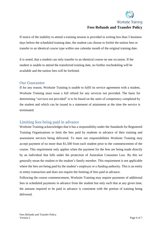

#### **Worksite Training Fees Refunds and Transfer Policy**

If notice of the inability to attend a training session is provided in writing less than 5 business days before the scheduled training date, the student can choose to forfeit the tuition fees or transfer to an identical course type within one calendar month of the original training date.

It is noted, that a student can only transfer to an identical course on one occasion. If the student is unable to attend the transferred training date, no further rescheduling will be available and the tuition fees will be forfeited.

#### <span id="page-5-0"></span>Our Guarantee

If for any reason, Worksite Training is unable to fulfil its service agreement with a student, Worksite Training must issue a full refund for any services not provided. The basis for determining "services not provided" is to be based on the units of competency completed by the student and which can be issued in a statement of attainment at the time the service is terminated.

#### <span id="page-5-1"></span>Limiting fees being paid in advance

Worksite Training acknowledges that it has a responsibility under the Standards for Registered Training Organisations to limit the fees paid by students in advance of their training and assessment services being delivered. To meet our responsibilities Worksite Training may accept payment of no more than \$1,500 from each student prior to the commencement of the course. This requirement only applies when the payment for the fees are being made directly by an individual that falls under the protection of Australian Consumer Law. By this we generally mean the student or the student's family member. This requirement is not applicable where the fees are being paid by the student's employer or a funding authority. This is an entity to entity transaction and does not require the limiting of fees paid in advance.

Following the course commencement, Worksite Training may require payments of additional fees in scheduled payments in advance from the student but only such that at any given time, the amount required to be paid in advance is consistent with the portion of training being delivered.